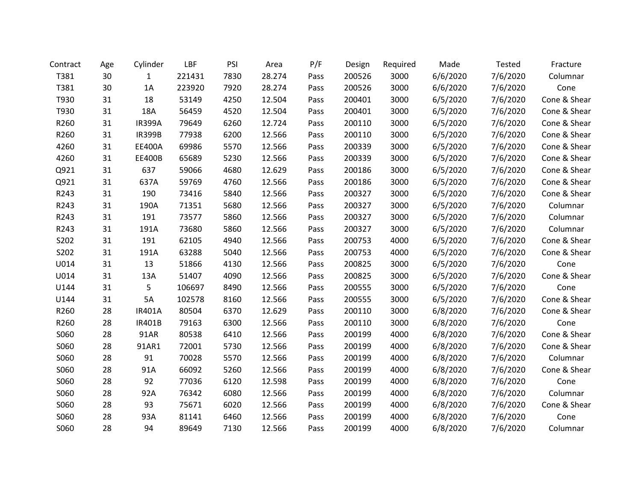| Contract | Age | Cylinder      | LBF    | PSI  | Area   | P/F  | Design | Required | Made     | Tested   | Fracture     |
|----------|-----|---------------|--------|------|--------|------|--------|----------|----------|----------|--------------|
| T381     | 30  | 1             | 221431 | 7830 | 28.274 | Pass | 200526 | 3000     | 6/6/2020 | 7/6/2020 | Columnar     |
| T381     | 30  | 1A            | 223920 | 7920 | 28.274 | Pass | 200526 | 3000     | 6/6/2020 | 7/6/2020 | Cone         |
| T930     | 31  | 18            | 53149  | 4250 | 12.504 | Pass | 200401 | 3000     | 6/5/2020 | 7/6/2020 | Cone & Shear |
| T930     | 31  | 18A           | 56459  | 4520 | 12.504 | Pass | 200401 | 3000     | 6/5/2020 | 7/6/2020 | Cone & Shear |
| R260     | 31  | <b>IR399A</b> | 79649  | 6260 | 12.724 | Pass | 200110 | 3000     | 6/5/2020 | 7/6/2020 | Cone & Shear |
| R260     | 31  | <b>IR399B</b> | 77938  | 6200 | 12.566 | Pass | 200110 | 3000     | 6/5/2020 | 7/6/2020 | Cone & Shear |
| 4260     | 31  | <b>EE400A</b> | 69986  | 5570 | 12.566 | Pass | 200339 | 3000     | 6/5/2020 | 7/6/2020 | Cone & Shear |
| 4260     | 31  | <b>EE400B</b> | 65689  | 5230 | 12.566 | Pass | 200339 | 3000     | 6/5/2020 | 7/6/2020 | Cone & Shear |
| Q921     | 31  | 637           | 59066  | 4680 | 12.629 | Pass | 200186 | 3000     | 6/5/2020 | 7/6/2020 | Cone & Shear |
| Q921     | 31  | 637A          | 59769  | 4760 | 12.566 | Pass | 200186 | 3000     | 6/5/2020 | 7/6/2020 | Cone & Shear |
| R243     | 31  | 190           | 73416  | 5840 | 12.566 | Pass | 200327 | 3000     | 6/5/2020 | 7/6/2020 | Cone & Shear |
| R243     | 31  | 190A          | 71351  | 5680 | 12.566 | Pass | 200327 | 3000     | 6/5/2020 | 7/6/2020 | Columnar     |
| R243     | 31  | 191           | 73577  | 5860 | 12.566 | Pass | 200327 | 3000     | 6/5/2020 | 7/6/2020 | Columnar     |
| R243     | 31  | 191A          | 73680  | 5860 | 12.566 | Pass | 200327 | 3000     | 6/5/2020 | 7/6/2020 | Columnar     |
| S202     | 31  | 191           | 62105  | 4940 | 12.566 | Pass | 200753 | 4000     | 6/5/2020 | 7/6/2020 | Cone & Shear |
| S202     | 31  | 191A          | 63288  | 5040 | 12.566 | Pass | 200753 | 4000     | 6/5/2020 | 7/6/2020 | Cone & Shear |
| U014     | 31  | 13            | 51866  | 4130 | 12.566 | Pass | 200825 | 3000     | 6/5/2020 | 7/6/2020 | Cone         |
| U014     | 31  | 13A           | 51407  | 4090 | 12.566 | Pass | 200825 | 3000     | 6/5/2020 | 7/6/2020 | Cone & Shear |
| U144     | 31  | 5             | 106697 | 8490 | 12.566 | Pass | 200555 | 3000     | 6/5/2020 | 7/6/2020 | Cone         |
| U144     | 31  | 5A            | 102578 | 8160 | 12.566 | Pass | 200555 | 3000     | 6/5/2020 | 7/6/2020 | Cone & Shear |
| R260     | 28  | IR401A        | 80504  | 6370 | 12.629 | Pass | 200110 | 3000     | 6/8/2020 | 7/6/2020 | Cone & Shear |
| R260     | 28  | <b>IR401B</b> | 79163  | 6300 | 12.566 | Pass | 200110 | 3000     | 6/8/2020 | 7/6/2020 | Cone         |
| S060     | 28  | 91AR          | 80538  | 6410 | 12.566 | Pass | 200199 | 4000     | 6/8/2020 | 7/6/2020 | Cone & Shear |
| S060     | 28  | 91AR1         | 72001  | 5730 | 12.566 | Pass | 200199 | 4000     | 6/8/2020 | 7/6/2020 | Cone & Shear |
| S060     | 28  | 91            | 70028  | 5570 | 12.566 | Pass | 200199 | 4000     | 6/8/2020 | 7/6/2020 | Columnar     |
| S060     | 28  | 91A           | 66092  | 5260 | 12.566 | Pass | 200199 | 4000     | 6/8/2020 | 7/6/2020 | Cone & Shear |
| S060     | 28  | 92            | 77036  | 6120 | 12.598 | Pass | 200199 | 4000     | 6/8/2020 | 7/6/2020 | Cone         |
| S060     | 28  | 92A           | 76342  | 6080 | 12.566 | Pass | 200199 | 4000     | 6/8/2020 | 7/6/2020 | Columnar     |
| S060     | 28  | 93            | 75671  | 6020 | 12.566 | Pass | 200199 | 4000     | 6/8/2020 | 7/6/2020 | Cone & Shear |
| S060     | 28  | 93A           | 81141  | 6460 | 12.566 | Pass | 200199 | 4000     | 6/8/2020 | 7/6/2020 | Cone         |
| S060     | 28  | 94            | 89649  | 7130 | 12.566 | Pass | 200199 | 4000     | 6/8/2020 | 7/6/2020 | Columnar     |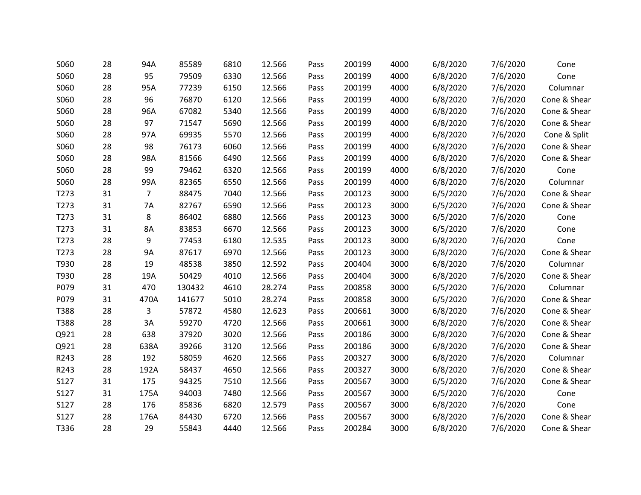| S060             | 28 | 94A            | 85589  | 6810 | 12.566 | Pass | 200199 | 4000 | 6/8/2020 | 7/6/2020 | Cone         |
|------------------|----|----------------|--------|------|--------|------|--------|------|----------|----------|--------------|
| S060             | 28 | 95             | 79509  | 6330 | 12.566 | Pass | 200199 | 4000 | 6/8/2020 | 7/6/2020 | Cone         |
| S060             | 28 | 95A            | 77239  | 6150 | 12.566 | Pass | 200199 | 4000 | 6/8/2020 | 7/6/2020 | Columnar     |
| S060             | 28 | 96             | 76870  | 6120 | 12.566 | Pass | 200199 | 4000 | 6/8/2020 | 7/6/2020 | Cone & Shear |
| S060             | 28 | 96A            | 67082  | 5340 | 12.566 | Pass | 200199 | 4000 | 6/8/2020 | 7/6/2020 | Cone & Shear |
| S060             | 28 | 97             | 71547  | 5690 | 12.566 | Pass | 200199 | 4000 | 6/8/2020 | 7/6/2020 | Cone & Shear |
| S060             | 28 | 97A            | 69935  | 5570 | 12.566 | Pass | 200199 | 4000 | 6/8/2020 | 7/6/2020 | Cone & Split |
| S060             | 28 | 98             | 76173  | 6060 | 12.566 | Pass | 200199 | 4000 | 6/8/2020 | 7/6/2020 | Cone & Shear |
| S060             | 28 | 98A            | 81566  | 6490 | 12.566 | Pass | 200199 | 4000 | 6/8/2020 | 7/6/2020 | Cone & Shear |
| S060             | 28 | 99             | 79462  | 6320 | 12.566 | Pass | 200199 | 4000 | 6/8/2020 | 7/6/2020 | Cone         |
| S060             | 28 | 99A            | 82365  | 6550 | 12.566 | Pass | 200199 | 4000 | 6/8/2020 | 7/6/2020 | Columnar     |
| T <sub>273</sub> | 31 | $\overline{7}$ | 88475  | 7040 | 12.566 | Pass | 200123 | 3000 | 6/5/2020 | 7/6/2020 | Cone & Shear |
| T273             | 31 | 7A             | 82767  | 6590 | 12.566 | Pass | 200123 | 3000 | 6/5/2020 | 7/6/2020 | Cone & Shear |
| T273             | 31 | 8              | 86402  | 6880 | 12.566 | Pass | 200123 | 3000 | 6/5/2020 | 7/6/2020 | Cone         |
| T273             | 31 | 8A             | 83853  | 6670 | 12.566 | Pass | 200123 | 3000 | 6/5/2020 | 7/6/2020 | Cone         |
| T273             | 28 | 9              | 77453  | 6180 | 12.535 | Pass | 200123 | 3000 | 6/8/2020 | 7/6/2020 | Cone         |
| T273             | 28 | <b>9A</b>      | 87617  | 6970 | 12.566 | Pass | 200123 | 3000 | 6/8/2020 | 7/6/2020 | Cone & Shear |
| T930             | 28 | 19             | 48538  | 3850 | 12.592 | Pass | 200404 | 3000 | 6/8/2020 | 7/6/2020 | Columnar     |
| T930             | 28 | 19A            | 50429  | 4010 | 12.566 | Pass | 200404 | 3000 | 6/8/2020 | 7/6/2020 | Cone & Shear |
| P079             | 31 | 470            | 130432 | 4610 | 28.274 | Pass | 200858 | 3000 | 6/5/2020 | 7/6/2020 | Columnar     |
| P079             | 31 | 470A           | 141677 | 5010 | 28.274 | Pass | 200858 | 3000 | 6/5/2020 | 7/6/2020 | Cone & Shear |
| T388             | 28 | 3              | 57872  | 4580 | 12.623 | Pass | 200661 | 3000 | 6/8/2020 | 7/6/2020 | Cone & Shear |
| T388             | 28 | 3A             | 59270  | 4720 | 12.566 | Pass | 200661 | 3000 | 6/8/2020 | 7/6/2020 | Cone & Shear |
| Q921             | 28 | 638            | 37920  | 3020 | 12.566 | Pass | 200186 | 3000 | 6/8/2020 | 7/6/2020 | Cone & Shear |
| Q921             | 28 | 638A           | 39266  | 3120 | 12.566 | Pass | 200186 | 3000 | 6/8/2020 | 7/6/2020 | Cone & Shear |
| R243             | 28 | 192            | 58059  | 4620 | 12.566 | Pass | 200327 | 3000 | 6/8/2020 | 7/6/2020 | Columnar     |
| R243             | 28 | 192A           | 58437  | 4650 | 12.566 | Pass | 200327 | 3000 | 6/8/2020 | 7/6/2020 | Cone & Shear |
| S127             | 31 | 175            | 94325  | 7510 | 12.566 | Pass | 200567 | 3000 | 6/5/2020 | 7/6/2020 | Cone & Shear |
| S127             | 31 | 175A           | 94003  | 7480 | 12.566 | Pass | 200567 | 3000 | 6/5/2020 | 7/6/2020 | Cone         |
| S127             | 28 | 176            | 85836  | 6820 | 12.579 | Pass | 200567 | 3000 | 6/8/2020 | 7/6/2020 | Cone         |
| S127             | 28 | 176A           | 84430  | 6720 | 12.566 | Pass | 200567 | 3000 | 6/8/2020 | 7/6/2020 | Cone & Shear |
| T336             | 28 | 29             | 55843  | 4440 | 12.566 | Pass | 200284 | 3000 | 6/8/2020 | 7/6/2020 | Cone & Shear |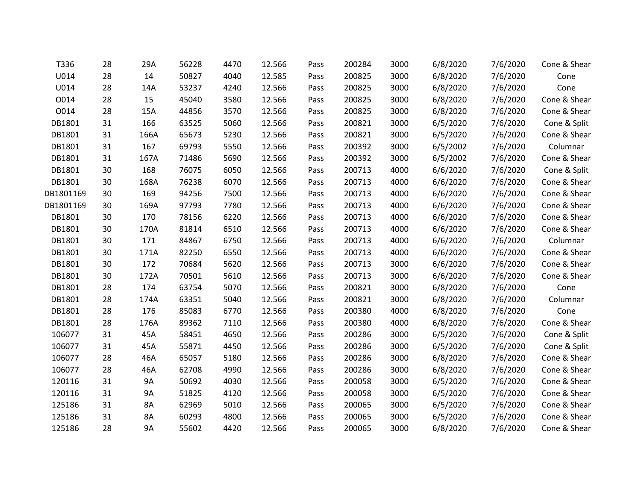| T336      | 28 | 29A       | 56228 | 4470 | 12.566 | Pass | 200284 | 3000 | 6/8/2020 | 7/6/2020 | Cone & Shear |
|-----------|----|-----------|-------|------|--------|------|--------|------|----------|----------|--------------|
| U014      | 28 | 14        | 50827 | 4040 | 12.585 | Pass | 200825 | 3000 | 6/8/2020 | 7/6/2020 | Cone         |
| U014      | 28 | 14A       | 53237 | 4240 | 12.566 | Pass | 200825 | 3000 | 6/8/2020 | 7/6/2020 | Cone         |
| O014      | 28 | 15        | 45040 | 3580 | 12.566 | Pass | 200825 | 3000 | 6/8/2020 | 7/6/2020 | Cone & Shear |
| 0014      | 28 | 15A       | 44856 | 3570 | 12.566 | Pass | 200825 | 3000 | 6/8/2020 | 7/6/2020 | Cone & Shear |
| DB1801    | 31 | 166       | 63525 | 5060 | 12.566 | Pass | 200821 | 3000 | 6/5/2020 | 7/6/2020 | Cone & Split |
| DB1801    | 31 | 166A      | 65673 | 5230 | 12.566 | Pass | 200821 | 3000 | 6/5/2020 | 7/6/2020 | Cone & Shear |
| DB1801    | 31 | 167       | 69793 | 5550 | 12.566 | Pass | 200392 | 3000 | 6/5/2002 | 7/6/2020 | Columnar     |
| DB1801    | 31 | 167A      | 71486 | 5690 | 12.566 | Pass | 200392 | 3000 | 6/5/2002 | 7/6/2020 | Cone & Shear |
| DB1801    | 30 | 168       | 76075 | 6050 | 12.566 | Pass | 200713 | 4000 | 6/6/2020 | 7/6/2020 | Cone & Split |
| DB1801    | 30 | 168A      | 76238 | 6070 | 12.566 | Pass | 200713 | 4000 | 6/6/2020 | 7/6/2020 | Cone & Shear |
| DB1801169 | 30 | 169       | 94256 | 7500 | 12.566 | Pass | 200713 | 4000 | 6/6/2020 | 7/6/2020 | Cone & Shear |
| DB1801169 | 30 | 169A      | 97793 | 7780 | 12.566 | Pass | 200713 | 4000 | 6/6/2020 | 7/6/2020 | Cone & Shear |
| DB1801    | 30 | 170       | 78156 | 6220 | 12.566 | Pass | 200713 | 4000 | 6/6/2020 | 7/6/2020 | Cone & Shear |
| DB1801    | 30 | 170A      | 81814 | 6510 | 12.566 | Pass | 200713 | 4000 | 6/6/2020 | 7/6/2020 | Cone & Shear |
| DB1801    | 30 | 171       | 84867 | 6750 | 12.566 | Pass | 200713 | 4000 | 6/6/2020 | 7/6/2020 | Columnar     |
| DB1801    | 30 | 171A      | 82250 | 6550 | 12.566 | Pass | 200713 | 4000 | 6/6/2020 | 7/6/2020 | Cone & Shear |
| DB1801    | 30 | 172       | 70684 | 5620 | 12.566 | Pass | 200713 | 3000 | 6/6/2020 | 7/6/2020 | Cone & Shear |
| DB1801    | 30 | 172A      | 70501 | 5610 | 12.566 | Pass | 200713 | 3000 | 6/6/2020 | 7/6/2020 | Cone & Shear |
| DB1801    | 28 | 174       | 63754 | 5070 | 12.566 | Pass | 200821 | 3000 | 6/8/2020 | 7/6/2020 | Cone         |
| DB1801    | 28 | 174A      | 63351 | 5040 | 12.566 | Pass | 200821 | 3000 | 6/8/2020 | 7/6/2020 | Columnar     |
| DB1801    | 28 | 176       | 85083 | 6770 | 12.566 | Pass | 200380 | 4000 | 6/8/2020 | 7/6/2020 | Cone         |
| DB1801    | 28 | 176A      | 89362 | 7110 | 12.566 | Pass | 200380 | 4000 | 6/8/2020 | 7/6/2020 | Cone & Shear |
| 106077    | 31 | 45A       | 58451 | 4650 | 12.566 | Pass | 200286 | 3000 | 6/5/2020 | 7/6/2020 | Cone & Split |
| 106077    | 31 | 45A       | 55871 | 4450 | 12.566 | Pass | 200286 | 3000 | 6/5/2020 | 7/6/2020 | Cone & Split |
| 106077    | 28 | 46A       | 65057 | 5180 | 12.566 | Pass | 200286 | 3000 | 6/8/2020 | 7/6/2020 | Cone & Shear |
| 106077    | 28 | 46A       | 62708 | 4990 | 12.566 | Pass | 200286 | 3000 | 6/8/2020 | 7/6/2020 | Cone & Shear |
| 120116    | 31 | <b>9A</b> | 50692 | 4030 | 12.566 | Pass | 200058 | 3000 | 6/5/2020 | 7/6/2020 | Cone & Shear |
| 120116    | 31 | <b>9A</b> | 51825 | 4120 | 12.566 | Pass | 200058 | 3000 | 6/5/2020 | 7/6/2020 | Cone & Shear |
| 125186    | 31 | 8A        | 62969 | 5010 | 12.566 | Pass | 200065 | 3000 | 6/5/2020 | 7/6/2020 | Cone & Shear |
| 125186    | 31 | 8A        | 60293 | 4800 | 12.566 | Pass | 200065 | 3000 | 6/5/2020 | 7/6/2020 | Cone & Shear |
| 125186    | 28 | 9A        | 55602 | 4420 | 12.566 | Pass | 200065 | 3000 | 6/8/2020 | 7/6/2020 | Cone & Shear |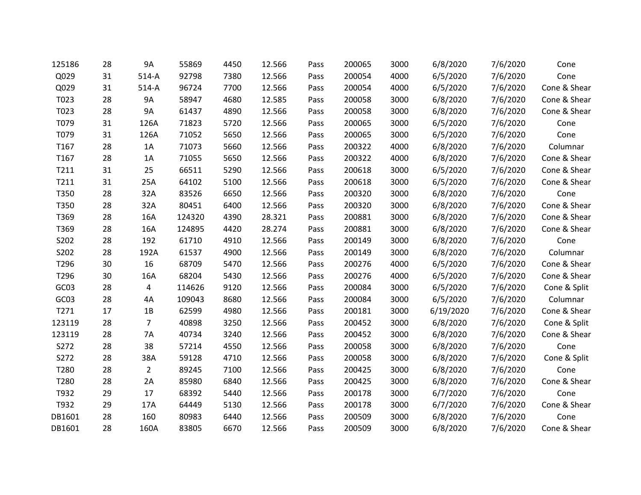| 125186 | 28 | 9A             | 55869  | 4450 | 12.566 | Pass | 200065 | 3000 | 6/8/2020  | 7/6/2020 | Cone         |
|--------|----|----------------|--------|------|--------|------|--------|------|-----------|----------|--------------|
| Q029   | 31 | $514-A$        | 92798  | 7380 | 12.566 | Pass | 200054 | 4000 | 6/5/2020  | 7/6/2020 | Cone         |
| Q029   | 31 | $514-A$        | 96724  | 7700 | 12.566 | Pass | 200054 | 4000 | 6/5/2020  | 7/6/2020 | Cone & Shear |
| T023   | 28 | <b>9A</b>      | 58947  | 4680 | 12.585 | Pass | 200058 | 3000 | 6/8/2020  | 7/6/2020 | Cone & Shear |
| T023   | 28 | <b>9A</b>      | 61437  | 4890 | 12.566 | Pass | 200058 | 3000 | 6/8/2020  | 7/6/2020 | Cone & Shear |
| T079   | 31 | 126A           | 71823  | 5720 | 12.566 | Pass | 200065 | 3000 | 6/5/2020  | 7/6/2020 | Cone         |
| T079   | 31 | 126A           | 71052  | 5650 | 12.566 | Pass | 200065 | 3000 | 6/5/2020  | 7/6/2020 | Cone         |
| T167   | 28 | 1A             | 71073  | 5660 | 12.566 | Pass | 200322 | 4000 | 6/8/2020  | 7/6/2020 | Columnar     |
| T167   | 28 | 1A             | 71055  | 5650 | 12.566 | Pass | 200322 | 4000 | 6/8/2020  | 7/6/2020 | Cone & Shear |
| T211   | 31 | 25             | 66511  | 5290 | 12.566 | Pass | 200618 | 3000 | 6/5/2020  | 7/6/2020 | Cone & Shear |
| T211   | 31 | 25A            | 64102  | 5100 | 12.566 | Pass | 200618 | 3000 | 6/5/2020  | 7/6/2020 | Cone & Shear |
| T350   | 28 | 32A            | 83526  | 6650 | 12.566 | Pass | 200320 | 3000 | 6/8/2020  | 7/6/2020 | Cone         |
| T350   | 28 | 32A            | 80451  | 6400 | 12.566 | Pass | 200320 | 3000 | 6/8/2020  | 7/6/2020 | Cone & Shear |
| T369   | 28 | 16A            | 124320 | 4390 | 28.321 | Pass | 200881 | 3000 | 6/8/2020  | 7/6/2020 | Cone & Shear |
| T369   | 28 | 16A            | 124895 | 4420 | 28.274 | Pass | 200881 | 3000 | 6/8/2020  | 7/6/2020 | Cone & Shear |
| S202   | 28 | 192            | 61710  | 4910 | 12.566 | Pass | 200149 | 3000 | 6/8/2020  | 7/6/2020 | Cone         |
| S202   | 28 | 192A           | 61537  | 4900 | 12.566 | Pass | 200149 | 3000 | 6/8/2020  | 7/6/2020 | Columnar     |
| T296   | 30 | 16             | 68709  | 5470 | 12.566 | Pass | 200276 | 4000 | 6/5/2020  | 7/6/2020 | Cone & Shear |
| T296   | 30 | 16A            | 68204  | 5430 | 12.566 | Pass | 200276 | 4000 | 6/5/2020  | 7/6/2020 | Cone & Shear |
| GC03   | 28 | 4              | 114626 | 9120 | 12.566 | Pass | 200084 | 3000 | 6/5/2020  | 7/6/2020 | Cone & Split |
| GC03   | 28 | 4A             | 109043 | 8680 | 12.566 | Pass | 200084 | 3000 | 6/5/2020  | 7/6/2020 | Columnar     |
| T271   | 17 | 1B             | 62599  | 4980 | 12.566 | Pass | 200181 | 3000 | 6/19/2020 | 7/6/2020 | Cone & Shear |
| 123119 | 28 | $\overline{7}$ | 40898  | 3250 | 12.566 | Pass | 200452 | 3000 | 6/8/2020  | 7/6/2020 | Cone & Split |
| 123119 | 28 | 7A             | 40734  | 3240 | 12.566 | Pass | 200452 | 3000 | 6/8/2020  | 7/6/2020 | Cone & Shear |
| S272   | 28 | 38             | 57214  | 4550 | 12.566 | Pass | 200058 | 3000 | 6/8/2020  | 7/6/2020 | Cone         |
| S272   | 28 | 38A            | 59128  | 4710 | 12.566 | Pass | 200058 | 3000 | 6/8/2020  | 7/6/2020 | Cone & Split |
| T280   | 28 | $\overline{2}$ | 89245  | 7100 | 12.566 | Pass | 200425 | 3000 | 6/8/2020  | 7/6/2020 | Cone         |
| T280   | 28 | 2A             | 85980  | 6840 | 12.566 | Pass | 200425 | 3000 | 6/8/2020  | 7/6/2020 | Cone & Shear |
| T932   | 29 | 17             | 68392  | 5440 | 12.566 | Pass | 200178 | 3000 | 6/7/2020  | 7/6/2020 | Cone         |
| T932   | 29 | 17A            | 64449  | 5130 | 12.566 | Pass | 200178 | 3000 | 6/7/2020  | 7/6/2020 | Cone & Shear |
| DB1601 | 28 | 160            | 80983  | 6440 | 12.566 | Pass | 200509 | 3000 | 6/8/2020  | 7/6/2020 | Cone         |
| DB1601 | 28 | 160A           | 83805  | 6670 | 12.566 | Pass | 200509 | 3000 | 6/8/2020  | 7/6/2020 | Cone & Shear |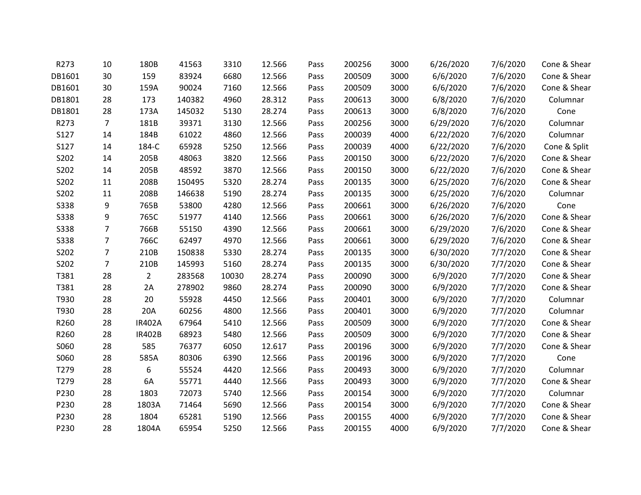| R273        | 10             | 180B           | 41563  | 3310  | 12.566 | Pass | 200256 | 3000 | 6/26/2020 | 7/6/2020 | Cone & Shear |
|-------------|----------------|----------------|--------|-------|--------|------|--------|------|-----------|----------|--------------|
| DB1601      | 30             | 159            | 83924  | 6680  | 12.566 | Pass | 200509 | 3000 | 6/6/2020  | 7/6/2020 | Cone & Shear |
| DB1601      | 30             | 159A           | 90024  | 7160  | 12.566 | Pass | 200509 | 3000 | 6/6/2020  | 7/6/2020 | Cone & Shear |
| DB1801      | 28             | 173            | 140382 | 4960  | 28.312 | Pass | 200613 | 3000 | 6/8/2020  | 7/6/2020 | Columnar     |
| DB1801      | 28             | 173A           | 145032 | 5130  | 28.274 | Pass | 200613 | 3000 | 6/8/2020  | 7/6/2020 | Cone         |
| R273        | $\overline{7}$ | 181B           | 39371  | 3130  | 12.566 | Pass | 200256 | 3000 | 6/29/2020 | 7/6/2020 | Columnar     |
| S127        | 14             | 184B           | 61022  | 4860  | 12.566 | Pass | 200039 | 4000 | 6/22/2020 | 7/6/2020 | Columnar     |
| S127        | 14             | 184-C          | 65928  | 5250  | 12.566 | Pass | 200039 | 4000 | 6/22/2020 | 7/6/2020 | Cone & Split |
| S202        | 14             | 205B           | 48063  | 3820  | 12.566 | Pass | 200150 | 3000 | 6/22/2020 | 7/6/2020 | Cone & Shear |
| S202        | 14             | 205B           | 48592  | 3870  | 12.566 | Pass | 200150 | 3000 | 6/22/2020 | 7/6/2020 | Cone & Shear |
| S202        | 11             | 208B           | 150495 | 5320  | 28.274 | Pass | 200135 | 3000 | 6/25/2020 | 7/6/2020 | Cone & Shear |
| S202        | 11             | 208B           | 146638 | 5190  | 28.274 | Pass | 200135 | 3000 | 6/25/2020 | 7/6/2020 | Columnar     |
| <b>S338</b> | 9              | 765B           | 53800  | 4280  | 12.566 | Pass | 200661 | 3000 | 6/26/2020 | 7/6/2020 | Cone         |
| <b>S338</b> | 9              | 765C           | 51977  | 4140  | 12.566 | Pass | 200661 | 3000 | 6/26/2020 | 7/6/2020 | Cone & Shear |
| <b>S338</b> | $\overline{7}$ | 766B           | 55150  | 4390  | 12.566 | Pass | 200661 | 3000 | 6/29/2020 | 7/6/2020 | Cone & Shear |
| <b>S338</b> | $\overline{7}$ | 766C           | 62497  | 4970  | 12.566 | Pass | 200661 | 3000 | 6/29/2020 | 7/6/2020 | Cone & Shear |
| S202        | $\overline{7}$ | 210B           | 150838 | 5330  | 28.274 | Pass | 200135 | 3000 | 6/30/2020 | 7/7/2020 | Cone & Shear |
| S202        | $\overline{7}$ | 210B           | 145993 | 5160  | 28.274 | Pass | 200135 | 3000 | 6/30/2020 | 7/7/2020 | Cone & Shear |
| T381        | 28             | $\overline{2}$ | 283568 | 10030 | 28.274 | Pass | 200090 | 3000 | 6/9/2020  | 7/7/2020 | Cone & Shear |
| T381        | 28             | 2A             | 278902 | 9860  | 28.274 | Pass | 200090 | 3000 | 6/9/2020  | 7/7/2020 | Cone & Shear |
| T930        | 28             | 20             | 55928  | 4450  | 12.566 | Pass | 200401 | 3000 | 6/9/2020  | 7/7/2020 | Columnar     |
| T930        | 28             | 20A            | 60256  | 4800  | 12.566 | Pass | 200401 | 3000 | 6/9/2020  | 7/7/2020 | Columnar     |
| R260        | 28             | <b>IR402A</b>  | 67964  | 5410  | 12.566 | Pass | 200509 | 3000 | 6/9/2020  | 7/7/2020 | Cone & Shear |
| R260        | 28             | <b>IR402B</b>  | 68923  | 5480  | 12.566 | Pass | 200509 | 3000 | 6/9/2020  | 7/7/2020 | Cone & Shear |
| S060        | 28             | 585            | 76377  | 6050  | 12.617 | Pass | 200196 | 3000 | 6/9/2020  | 7/7/2020 | Cone & Shear |
| S060        | 28             | 585A           | 80306  | 6390  | 12.566 | Pass | 200196 | 3000 | 6/9/2020  | 7/7/2020 | Cone         |
| T279        | 28             | 6              | 55524  | 4420  | 12.566 | Pass | 200493 | 3000 | 6/9/2020  | 7/7/2020 | Columnar     |
| T279        | 28             | 6A             | 55771  | 4440  | 12.566 | Pass | 200493 | 3000 | 6/9/2020  | 7/7/2020 | Cone & Shear |
| P230        | 28             | 1803           | 72073  | 5740  | 12.566 | Pass | 200154 | 3000 | 6/9/2020  | 7/7/2020 | Columnar     |
| P230        | 28             | 1803A          | 71464  | 5690  | 12.566 | Pass | 200154 | 3000 | 6/9/2020  | 7/7/2020 | Cone & Shear |
| P230        | 28             | 1804           | 65281  | 5190  | 12.566 | Pass | 200155 | 4000 | 6/9/2020  | 7/7/2020 | Cone & Shear |
| P230        | 28             | 1804A          | 65954  | 5250  | 12.566 | Pass | 200155 | 4000 | 6/9/2020  | 7/7/2020 | Cone & Shear |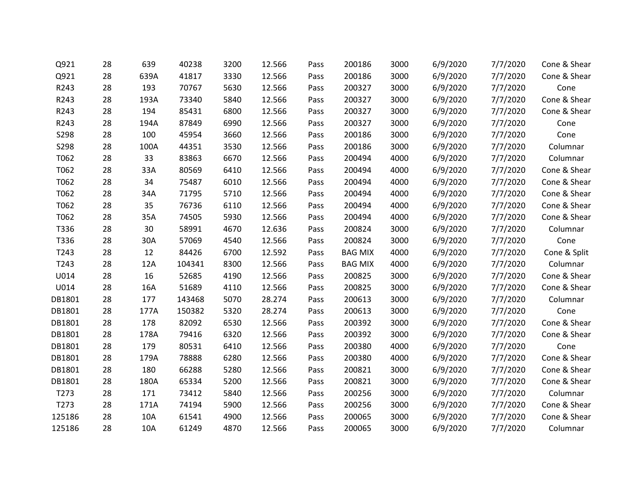| Q921   | 28 | 639  | 40238  | 3200 | 12.566 | Pass | 200186         | 3000 | 6/9/2020 | 7/7/2020 | Cone & Shear |
|--------|----|------|--------|------|--------|------|----------------|------|----------|----------|--------------|
| Q921   | 28 | 639A | 41817  | 3330 | 12.566 | Pass | 200186         | 3000 | 6/9/2020 | 7/7/2020 | Cone & Shear |
| R243   | 28 | 193  | 70767  | 5630 | 12.566 | Pass | 200327         | 3000 | 6/9/2020 | 7/7/2020 | Cone         |
| R243   | 28 | 193A | 73340  | 5840 | 12.566 | Pass | 200327         | 3000 | 6/9/2020 | 7/7/2020 | Cone & Shear |
| R243   | 28 | 194  | 85431  | 6800 | 12.566 | Pass | 200327         | 3000 | 6/9/2020 | 7/7/2020 | Cone & Shear |
| R243   | 28 | 194A | 87849  | 6990 | 12.566 | Pass | 200327         | 3000 | 6/9/2020 | 7/7/2020 | Cone         |
| S298   | 28 | 100  | 45954  | 3660 | 12.566 | Pass | 200186         | 3000 | 6/9/2020 | 7/7/2020 | Cone         |
| S298   | 28 | 100A | 44351  | 3530 | 12.566 | Pass | 200186         | 3000 | 6/9/2020 | 7/7/2020 | Columnar     |
| T062   | 28 | 33   | 83863  | 6670 | 12.566 | Pass | 200494         | 4000 | 6/9/2020 | 7/7/2020 | Columnar     |
| T062   | 28 | 33A  | 80569  | 6410 | 12.566 | Pass | 200494         | 4000 | 6/9/2020 | 7/7/2020 | Cone & Shear |
| T062   | 28 | 34   | 75487  | 6010 | 12.566 | Pass | 200494         | 4000 | 6/9/2020 | 7/7/2020 | Cone & Shear |
| T062   | 28 | 34A  | 71795  | 5710 | 12.566 | Pass | 200494         | 4000 | 6/9/2020 | 7/7/2020 | Cone & Shear |
| T062   | 28 | 35   | 76736  | 6110 | 12.566 | Pass | 200494         | 4000 | 6/9/2020 | 7/7/2020 | Cone & Shear |
| T062   | 28 | 35A  | 74505  | 5930 | 12.566 | Pass | 200494         | 4000 | 6/9/2020 | 7/7/2020 | Cone & Shear |
| T336   | 28 | 30   | 58991  | 4670 | 12.636 | Pass | 200824         | 3000 | 6/9/2020 | 7/7/2020 | Columnar     |
| T336   | 28 | 30A  | 57069  | 4540 | 12.566 | Pass | 200824         | 3000 | 6/9/2020 | 7/7/2020 | Cone         |
| T243   | 28 | 12   | 84426  | 6700 | 12.592 | Pass | <b>BAG MIX</b> | 4000 | 6/9/2020 | 7/7/2020 | Cone & Split |
| T243   | 28 | 12A  | 104341 | 8300 | 12.566 | Pass | <b>BAG MIX</b> | 4000 | 6/9/2020 | 7/7/2020 | Columnar     |
| U014   | 28 | 16   | 52685  | 4190 | 12.566 | Pass | 200825         | 3000 | 6/9/2020 | 7/7/2020 | Cone & Shear |
| U014   | 28 | 16A  | 51689  | 4110 | 12.566 | Pass | 200825         | 3000 | 6/9/2020 | 7/7/2020 | Cone & Shear |
| DB1801 | 28 | 177  | 143468 | 5070 | 28.274 | Pass | 200613         | 3000 | 6/9/2020 | 7/7/2020 | Columnar     |
| DB1801 | 28 | 177A | 150382 | 5320 | 28.274 | Pass | 200613         | 3000 | 6/9/2020 | 7/7/2020 | Cone         |
| DB1801 | 28 | 178  | 82092  | 6530 | 12.566 | Pass | 200392         | 3000 | 6/9/2020 | 7/7/2020 | Cone & Shear |
| DB1801 | 28 | 178A | 79416  | 6320 | 12.566 | Pass | 200392         | 3000 | 6/9/2020 | 7/7/2020 | Cone & Shear |
| DB1801 | 28 | 179  | 80531  | 6410 | 12.566 | Pass | 200380         | 4000 | 6/9/2020 | 7/7/2020 | Cone         |
| DB1801 | 28 | 179A | 78888  | 6280 | 12.566 | Pass | 200380         | 4000 | 6/9/2020 | 7/7/2020 | Cone & Shear |
| DB1801 | 28 | 180  | 66288  | 5280 | 12.566 | Pass | 200821         | 3000 | 6/9/2020 | 7/7/2020 | Cone & Shear |
| DB1801 | 28 | 180A | 65334  | 5200 | 12.566 | Pass | 200821         | 3000 | 6/9/2020 | 7/7/2020 | Cone & Shear |
| T273   | 28 | 171  | 73412  | 5840 | 12.566 | Pass | 200256         | 3000 | 6/9/2020 | 7/7/2020 | Columnar     |
| T273   | 28 | 171A | 74194  | 5900 | 12.566 | Pass | 200256         | 3000 | 6/9/2020 | 7/7/2020 | Cone & Shear |
| 125186 | 28 | 10A  | 61541  | 4900 | 12.566 | Pass | 200065         | 3000 | 6/9/2020 | 7/7/2020 | Cone & Shear |
| 125186 | 28 | 10A  | 61249  | 4870 | 12.566 | Pass | 200065         | 3000 | 6/9/2020 | 7/7/2020 | Columnar     |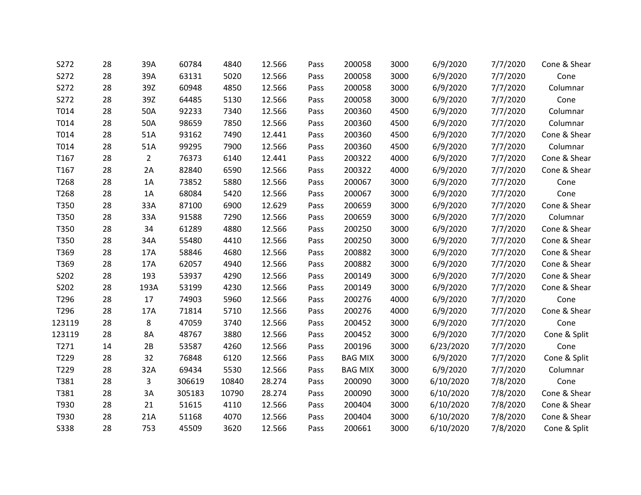| S272        | 28 | 39A            | 60784  | 4840  | 12.566 | Pass | 200058         | 3000 | 6/9/2020  | 7/7/2020 | Cone & Shear |
|-------------|----|----------------|--------|-------|--------|------|----------------|------|-----------|----------|--------------|
| S272        | 28 | 39A            | 63131  | 5020  | 12.566 | Pass | 200058         | 3000 | 6/9/2020  | 7/7/2020 | Cone         |
| S272        | 28 | 39Z            | 60948  | 4850  | 12.566 | Pass | 200058         | 3000 | 6/9/2020  | 7/7/2020 | Columnar     |
| S272        | 28 | 39Z            | 64485  | 5130  | 12.566 | Pass | 200058         | 3000 | 6/9/2020  | 7/7/2020 | Cone         |
| T014        | 28 | 50A            | 92233  | 7340  | 12.566 | Pass | 200360         | 4500 | 6/9/2020  | 7/7/2020 | Columnar     |
| T014        | 28 | 50A            | 98659  | 7850  | 12.566 | Pass | 200360         | 4500 | 6/9/2020  | 7/7/2020 | Columnar     |
| T014        | 28 | 51A            | 93162  | 7490  | 12.441 | Pass | 200360         | 4500 | 6/9/2020  | 7/7/2020 | Cone & Shear |
| T014        | 28 | 51A            | 99295  | 7900  | 12.566 | Pass | 200360         | 4500 | 6/9/2020  | 7/7/2020 | Columnar     |
| T167        | 28 | $\overline{2}$ | 76373  | 6140  | 12.441 | Pass | 200322         | 4000 | 6/9/2020  | 7/7/2020 | Cone & Shear |
| T167        | 28 | 2A             | 82840  | 6590  | 12.566 | Pass | 200322         | 4000 | 6/9/2020  | 7/7/2020 | Cone & Shear |
| T268        | 28 | 1A             | 73852  | 5880  | 12.566 | Pass | 200067         | 3000 | 6/9/2020  | 7/7/2020 | Cone         |
| T268        | 28 | 1A             | 68084  | 5420  | 12.566 | Pass | 200067         | 3000 | 6/9/2020  | 7/7/2020 | Cone         |
| T350        | 28 | 33A            | 87100  | 6900  | 12.629 | Pass | 200659         | 3000 | 6/9/2020  | 7/7/2020 | Cone & Shear |
| T350        | 28 | 33A            | 91588  | 7290  | 12.566 | Pass | 200659         | 3000 | 6/9/2020  | 7/7/2020 | Columnar     |
| T350        | 28 | 34             | 61289  | 4880  | 12.566 | Pass | 200250         | 3000 | 6/9/2020  | 7/7/2020 | Cone & Shear |
| T350        | 28 | 34A            | 55480  | 4410  | 12.566 | Pass | 200250         | 3000 | 6/9/2020  | 7/7/2020 | Cone & Shear |
| T369        | 28 | 17A            | 58846  | 4680  | 12.566 | Pass | 200882         | 3000 | 6/9/2020  | 7/7/2020 | Cone & Shear |
| T369        | 28 | 17A            | 62057  | 4940  | 12.566 | Pass | 200882         | 3000 | 6/9/2020  | 7/7/2020 | Cone & Shear |
| S202        | 28 | 193            | 53937  | 4290  | 12.566 | Pass | 200149         | 3000 | 6/9/2020  | 7/7/2020 | Cone & Shear |
| S202        | 28 | 193A           | 53199  | 4230  | 12.566 | Pass | 200149         | 3000 | 6/9/2020  | 7/7/2020 | Cone & Shear |
| T296        | 28 | 17             | 74903  | 5960  | 12.566 | Pass | 200276         | 4000 | 6/9/2020  | 7/7/2020 | Cone         |
| T296        | 28 | 17A            | 71814  | 5710  | 12.566 | Pass | 200276         | 4000 | 6/9/2020  | 7/7/2020 | Cone & Shear |
| 123119      | 28 | 8              | 47059  | 3740  | 12.566 | Pass | 200452         | 3000 | 6/9/2020  | 7/7/2020 | Cone         |
| 123119      | 28 | 8A             | 48767  | 3880  | 12.566 | Pass | 200452         | 3000 | 6/9/2020  | 7/7/2020 | Cone & Split |
| T271        | 14 | 2B             | 53587  | 4260  | 12.566 | Pass | 200196         | 3000 | 6/23/2020 | 7/7/2020 | Cone         |
| T229        | 28 | 32             | 76848  | 6120  | 12.566 | Pass | <b>BAG MIX</b> | 3000 | 6/9/2020  | 7/7/2020 | Cone & Split |
| T229        | 28 | 32A            | 69434  | 5530  | 12.566 | Pass | <b>BAG MIX</b> | 3000 | 6/9/2020  | 7/7/2020 | Columnar     |
| T381        | 28 | 3              | 306619 | 10840 | 28.274 | Pass | 200090         | 3000 | 6/10/2020 | 7/8/2020 | Cone         |
| T381        | 28 | 3A             | 305183 | 10790 | 28.274 | Pass | 200090         | 3000 | 6/10/2020 | 7/8/2020 | Cone & Shear |
| T930        | 28 | 21             | 51615  | 4110  | 12.566 | Pass | 200404         | 3000 | 6/10/2020 | 7/8/2020 | Cone & Shear |
| T930        | 28 | 21A            | 51168  | 4070  | 12.566 | Pass | 200404         | 3000 | 6/10/2020 | 7/8/2020 | Cone & Shear |
| <b>S338</b> | 28 | 753            | 45509  | 3620  | 12.566 | Pass | 200661         | 3000 | 6/10/2020 | 7/8/2020 | Cone & Split |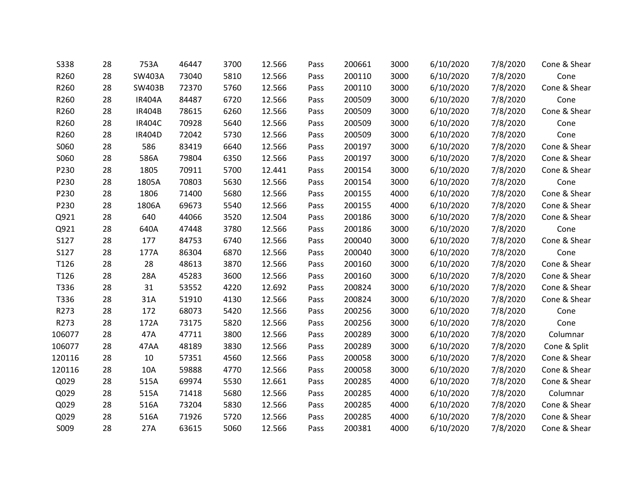| <b>S338</b> | 28 | 753A          | 46447 | 3700 | 12.566 | Pass | 200661 | 3000 | 6/10/2020 | 7/8/2020 | Cone & Shear |
|-------------|----|---------------|-------|------|--------|------|--------|------|-----------|----------|--------------|
| R260        | 28 | SW403A        | 73040 | 5810 | 12.566 | Pass | 200110 | 3000 | 6/10/2020 | 7/8/2020 | Cone         |
| R260        | 28 | SW403B        | 72370 | 5760 | 12.566 | Pass | 200110 | 3000 | 6/10/2020 | 7/8/2020 | Cone & Shear |
| R260        | 28 | <b>IR404A</b> | 84487 | 6720 | 12.566 | Pass | 200509 | 3000 | 6/10/2020 | 7/8/2020 | Cone         |
| R260        | 28 | <b>IR404B</b> | 78615 | 6260 | 12.566 | Pass | 200509 | 3000 | 6/10/2020 | 7/8/2020 | Cone & Shear |
| R260        | 28 | <b>IR404C</b> | 70928 | 5640 | 12.566 | Pass | 200509 | 3000 | 6/10/2020 | 7/8/2020 | Cone         |
| R260        | 28 | IR404D        | 72042 | 5730 | 12.566 | Pass | 200509 | 3000 | 6/10/2020 | 7/8/2020 | Cone         |
| S060        | 28 | 586           | 83419 | 6640 | 12.566 | Pass | 200197 | 3000 | 6/10/2020 | 7/8/2020 | Cone & Shear |
| S060        | 28 | 586A          | 79804 | 6350 | 12.566 | Pass | 200197 | 3000 | 6/10/2020 | 7/8/2020 | Cone & Shear |
| P230        | 28 | 1805          | 70911 | 5700 | 12.441 | Pass | 200154 | 3000 | 6/10/2020 | 7/8/2020 | Cone & Shear |
| P230        | 28 | 1805A         | 70803 | 5630 | 12.566 | Pass | 200154 | 3000 | 6/10/2020 | 7/8/2020 | Cone         |
| P230        | 28 | 1806          | 71400 | 5680 | 12.566 | Pass | 200155 | 4000 | 6/10/2020 | 7/8/2020 | Cone & Shear |
| P230        | 28 | 1806A         | 69673 | 5540 | 12.566 | Pass | 200155 | 4000 | 6/10/2020 | 7/8/2020 | Cone & Shear |
| Q921        | 28 | 640           | 44066 | 3520 | 12.504 | Pass | 200186 | 3000 | 6/10/2020 | 7/8/2020 | Cone & Shear |
| Q921        | 28 | 640A          | 47448 | 3780 | 12.566 | Pass | 200186 | 3000 | 6/10/2020 | 7/8/2020 | Cone         |
| S127        | 28 | 177           | 84753 | 6740 | 12.566 | Pass | 200040 | 3000 | 6/10/2020 | 7/8/2020 | Cone & Shear |
| S127        | 28 | 177A          | 86304 | 6870 | 12.566 | Pass | 200040 | 3000 | 6/10/2020 | 7/8/2020 | Cone         |
| T126        | 28 | 28            | 48613 | 3870 | 12.566 | Pass | 200160 | 3000 | 6/10/2020 | 7/8/2020 | Cone & Shear |
| T126        | 28 | 28A           | 45283 | 3600 | 12.566 | Pass | 200160 | 3000 | 6/10/2020 | 7/8/2020 | Cone & Shear |
| T336        | 28 | 31            | 53552 | 4220 | 12.692 | Pass | 200824 | 3000 | 6/10/2020 | 7/8/2020 | Cone & Shear |
| T336        | 28 | 31A           | 51910 | 4130 | 12.566 | Pass | 200824 | 3000 | 6/10/2020 | 7/8/2020 | Cone & Shear |
| R273        | 28 | 172           | 68073 | 5420 | 12.566 | Pass | 200256 | 3000 | 6/10/2020 | 7/8/2020 | Cone         |
| R273        | 28 | 172A          | 73175 | 5820 | 12.566 | Pass | 200256 | 3000 | 6/10/2020 | 7/8/2020 | Cone         |
| 106077      | 28 | 47A           | 47711 | 3800 | 12.566 | Pass | 200289 | 3000 | 6/10/2020 | 7/8/2020 | Columnar     |
| 106077      | 28 | 47AA          | 48189 | 3830 | 12.566 | Pass | 200289 | 3000 | 6/10/2020 | 7/8/2020 | Cone & Split |
| 120116      | 28 | 10            | 57351 | 4560 | 12.566 | Pass | 200058 | 3000 | 6/10/2020 | 7/8/2020 | Cone & Shear |
| 120116      | 28 | 10A           | 59888 | 4770 | 12.566 | Pass | 200058 | 3000 | 6/10/2020 | 7/8/2020 | Cone & Shear |
| Q029        | 28 | 515A          | 69974 | 5530 | 12.661 | Pass | 200285 | 4000 | 6/10/2020 | 7/8/2020 | Cone & Shear |
| Q029        | 28 | 515A          | 71418 | 5680 | 12.566 | Pass | 200285 | 4000 | 6/10/2020 | 7/8/2020 | Columnar     |
| Q029        | 28 | 516A          | 73204 | 5830 | 12.566 | Pass | 200285 | 4000 | 6/10/2020 | 7/8/2020 | Cone & Shear |
| Q029        | 28 | 516A          | 71926 | 5720 | 12.566 | Pass | 200285 | 4000 | 6/10/2020 | 7/8/2020 | Cone & Shear |
| S009        | 28 | 27A           | 63615 | 5060 | 12.566 | Pass | 200381 | 4000 | 6/10/2020 | 7/8/2020 | Cone & Shear |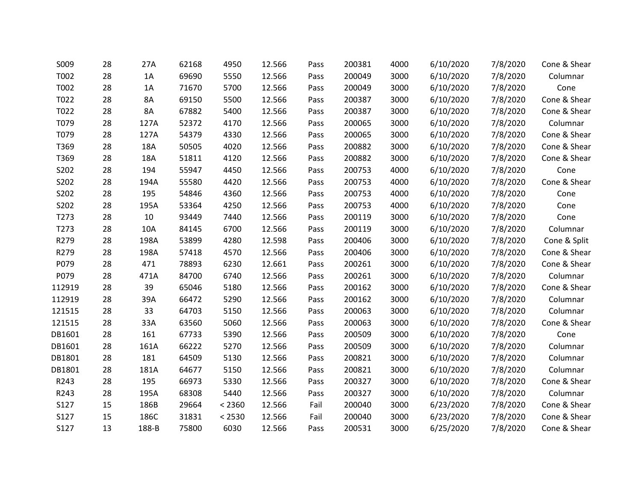| S009   | 28 | 27A   | 62168 | 4950   | 12.566 | Pass | 200381 | 4000 | 6/10/2020 | 7/8/2020 | Cone & Shear |
|--------|----|-------|-------|--------|--------|------|--------|------|-----------|----------|--------------|
| T002   | 28 | 1A    | 69690 | 5550   | 12.566 | Pass | 200049 | 3000 | 6/10/2020 | 7/8/2020 | Columnar     |
| T002   | 28 | 1A    | 71670 | 5700   | 12.566 | Pass | 200049 | 3000 | 6/10/2020 | 7/8/2020 | Cone         |
| T022   | 28 | 8A    | 69150 | 5500   | 12.566 | Pass | 200387 | 3000 | 6/10/2020 | 7/8/2020 | Cone & Shear |
| T022   | 28 | 8A    | 67882 | 5400   | 12.566 | Pass | 200387 | 3000 | 6/10/2020 | 7/8/2020 | Cone & Shear |
| T079   | 28 | 127A  | 52372 | 4170   | 12.566 | Pass | 200065 | 3000 | 6/10/2020 | 7/8/2020 | Columnar     |
| T079   | 28 | 127A  | 54379 | 4330   | 12.566 | Pass | 200065 | 3000 | 6/10/2020 | 7/8/2020 | Cone & Shear |
| T369   | 28 | 18A   | 50505 | 4020   | 12.566 | Pass | 200882 | 3000 | 6/10/2020 | 7/8/2020 | Cone & Shear |
| T369   | 28 | 18A   | 51811 | 4120   | 12.566 | Pass | 200882 | 3000 | 6/10/2020 | 7/8/2020 | Cone & Shear |
| S202   | 28 | 194   | 55947 | 4450   | 12.566 | Pass | 200753 | 4000 | 6/10/2020 | 7/8/2020 | Cone         |
| S202   | 28 | 194A  | 55580 | 4420   | 12.566 | Pass | 200753 | 4000 | 6/10/2020 | 7/8/2020 | Cone & Shear |
| S202   | 28 | 195   | 54846 | 4360   | 12.566 | Pass | 200753 | 4000 | 6/10/2020 | 7/8/2020 | Cone         |
| S202   | 28 | 195A  | 53364 | 4250   | 12.566 | Pass | 200753 | 4000 | 6/10/2020 | 7/8/2020 | Cone         |
| T273   | 28 | 10    | 93449 | 7440   | 12.566 | Pass | 200119 | 3000 | 6/10/2020 | 7/8/2020 | Cone         |
| T273   | 28 | 10A   | 84145 | 6700   | 12.566 | Pass | 200119 | 3000 | 6/10/2020 | 7/8/2020 | Columnar     |
| R279   | 28 | 198A  | 53899 | 4280   | 12.598 | Pass | 200406 | 3000 | 6/10/2020 | 7/8/2020 | Cone & Split |
| R279   | 28 | 198A  | 57418 | 4570   | 12.566 | Pass | 200406 | 3000 | 6/10/2020 | 7/8/2020 | Cone & Shear |
| P079   | 28 | 471   | 78893 | 6230   | 12.661 | Pass | 200261 | 3000 | 6/10/2020 | 7/8/2020 | Cone & Shear |
| P079   | 28 | 471A  | 84700 | 6740   | 12.566 | Pass | 200261 | 3000 | 6/10/2020 | 7/8/2020 | Columnar     |
| 112919 | 28 | 39    | 65046 | 5180   | 12.566 | Pass | 200162 | 3000 | 6/10/2020 | 7/8/2020 | Cone & Shear |
| 112919 | 28 | 39A   | 66472 | 5290   | 12.566 | Pass | 200162 | 3000 | 6/10/2020 | 7/8/2020 | Columnar     |
| 121515 | 28 | 33    | 64703 | 5150   | 12.566 | Pass | 200063 | 3000 | 6/10/2020 | 7/8/2020 | Columnar     |
| 121515 | 28 | 33A   | 63560 | 5060   | 12.566 | Pass | 200063 | 3000 | 6/10/2020 | 7/8/2020 | Cone & Shear |
| DB1601 | 28 | 161   | 67733 | 5390   | 12.566 | Pass | 200509 | 3000 | 6/10/2020 | 7/8/2020 | Cone         |
| DB1601 | 28 | 161A  | 66222 | 5270   | 12.566 | Pass | 200509 | 3000 | 6/10/2020 | 7/8/2020 | Columnar     |
| DB1801 | 28 | 181   | 64509 | 5130   | 12.566 | Pass | 200821 | 3000 | 6/10/2020 | 7/8/2020 | Columnar     |
| DB1801 | 28 | 181A  | 64677 | 5150   | 12.566 | Pass | 200821 | 3000 | 6/10/2020 | 7/8/2020 | Columnar     |
| R243   | 28 | 195   | 66973 | 5330   | 12.566 | Pass | 200327 | 3000 | 6/10/2020 | 7/8/2020 | Cone & Shear |
| R243   | 28 | 195A  | 68308 | 5440   | 12.566 | Pass | 200327 | 3000 | 6/10/2020 | 7/8/2020 | Columnar     |
| S127   | 15 | 186B  | 29664 | < 2360 | 12.566 | Fail | 200040 | 3000 | 6/23/2020 | 7/8/2020 | Cone & Shear |
| S127   | 15 | 186C  | 31831 | < 2530 | 12.566 | Fail | 200040 | 3000 | 6/23/2020 | 7/8/2020 | Cone & Shear |
| S127   | 13 | 188-B | 75800 | 6030   | 12.566 | Pass | 200531 | 3000 | 6/25/2020 | 7/8/2020 | Cone & Shear |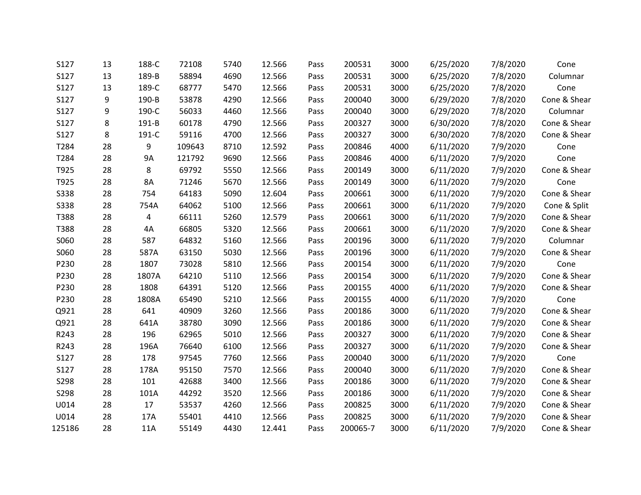| S127        | 13 | 188-C | 72108  | 5740 | 12.566 | Pass | 200531   | 3000 | 6/25/2020 | 7/8/2020 | Cone         |
|-------------|----|-------|--------|------|--------|------|----------|------|-----------|----------|--------------|
| S127        | 13 | 189-B | 58894  | 4690 | 12.566 | Pass | 200531   | 3000 | 6/25/2020 | 7/8/2020 | Columnar     |
| S127        | 13 | 189-C | 68777  | 5470 | 12.566 | Pass | 200531   | 3000 | 6/25/2020 | 7/8/2020 | Cone         |
| S127        | 9  | 190-B | 53878  | 4290 | 12.566 | Pass | 200040   | 3000 | 6/29/2020 | 7/8/2020 | Cone & Shear |
| S127        | 9  | 190-C | 56033  | 4460 | 12.566 | Pass | 200040   | 3000 | 6/29/2020 | 7/8/2020 | Columnar     |
| S127        | 8  | 191-B | 60178  | 4790 | 12.566 | Pass | 200327   | 3000 | 6/30/2020 | 7/8/2020 | Cone & Shear |
| S127        | 8  | 191-C | 59116  | 4700 | 12.566 | Pass | 200327   | 3000 | 6/30/2020 | 7/8/2020 | Cone & Shear |
| T284        | 28 | 9     | 109643 | 8710 | 12.592 | Pass | 200846   | 4000 | 6/11/2020 | 7/9/2020 | Cone         |
| T284        | 28 | 9A    | 121792 | 9690 | 12.566 | Pass | 200846   | 4000 | 6/11/2020 | 7/9/2020 | Cone         |
| T925        | 28 | 8     | 69792  | 5550 | 12.566 | Pass | 200149   | 3000 | 6/11/2020 | 7/9/2020 | Cone & Shear |
| T925        | 28 | 8A    | 71246  | 5670 | 12.566 | Pass | 200149   | 3000 | 6/11/2020 | 7/9/2020 | Cone         |
| <b>S338</b> | 28 | 754   | 64183  | 5090 | 12.604 | Pass | 200661   | 3000 | 6/11/2020 | 7/9/2020 | Cone & Shear |
| <b>S338</b> | 28 | 754A  | 64062  | 5100 | 12.566 | Pass | 200661   | 3000 | 6/11/2020 | 7/9/2020 | Cone & Split |
| T388        | 28 | 4     | 66111  | 5260 | 12.579 | Pass | 200661   | 3000 | 6/11/2020 | 7/9/2020 | Cone & Shear |
| T388        | 28 | 4A    | 66805  | 5320 | 12.566 | Pass | 200661   | 3000 | 6/11/2020 | 7/9/2020 | Cone & Shear |
| S060        | 28 | 587   | 64832  | 5160 | 12.566 | Pass | 200196   | 3000 | 6/11/2020 | 7/9/2020 | Columnar     |
| S060        | 28 | 587A  | 63150  | 5030 | 12.566 | Pass | 200196   | 3000 | 6/11/2020 | 7/9/2020 | Cone & Shear |
| P230        | 28 | 1807  | 73028  | 5810 | 12.566 | Pass | 200154   | 3000 | 6/11/2020 | 7/9/2020 | Cone         |
| P230        | 28 | 1807A | 64210  | 5110 | 12.566 | Pass | 200154   | 3000 | 6/11/2020 | 7/9/2020 | Cone & Shear |
| P230        | 28 | 1808  | 64391  | 5120 | 12.566 | Pass | 200155   | 4000 | 6/11/2020 | 7/9/2020 | Cone & Shear |
| P230        | 28 | 1808A | 65490  | 5210 | 12.566 | Pass | 200155   | 4000 | 6/11/2020 | 7/9/2020 | Cone         |
| Q921        | 28 | 641   | 40909  | 3260 | 12.566 | Pass | 200186   | 3000 | 6/11/2020 | 7/9/2020 | Cone & Shear |
| Q921        | 28 | 641A  | 38780  | 3090 | 12.566 | Pass | 200186   | 3000 | 6/11/2020 | 7/9/2020 | Cone & Shear |
| R243        | 28 | 196   | 62965  | 5010 | 12.566 | Pass | 200327   | 3000 | 6/11/2020 | 7/9/2020 | Cone & Shear |
| R243        | 28 | 196A  | 76640  | 6100 | 12.566 | Pass | 200327   | 3000 | 6/11/2020 | 7/9/2020 | Cone & Shear |
| S127        | 28 | 178   | 97545  | 7760 | 12.566 | Pass | 200040   | 3000 | 6/11/2020 | 7/9/2020 | Cone         |
| S127        | 28 | 178A  | 95150  | 7570 | 12.566 | Pass | 200040   | 3000 | 6/11/2020 | 7/9/2020 | Cone & Shear |
| S298        | 28 | 101   | 42688  | 3400 | 12.566 | Pass | 200186   | 3000 | 6/11/2020 | 7/9/2020 | Cone & Shear |
| S298        | 28 | 101A  | 44292  | 3520 | 12.566 | Pass | 200186   | 3000 | 6/11/2020 | 7/9/2020 | Cone & Shear |
| U014        | 28 | 17    | 53537  | 4260 | 12.566 | Pass | 200825   | 3000 | 6/11/2020 | 7/9/2020 | Cone & Shear |
| U014        | 28 | 17A   | 55401  | 4410 | 12.566 | Pass | 200825   | 3000 | 6/11/2020 | 7/9/2020 | Cone & Shear |
| 125186      | 28 | 11A   | 55149  | 4430 | 12.441 | Pass | 200065-7 | 3000 | 6/11/2020 | 7/9/2020 | Cone & Shear |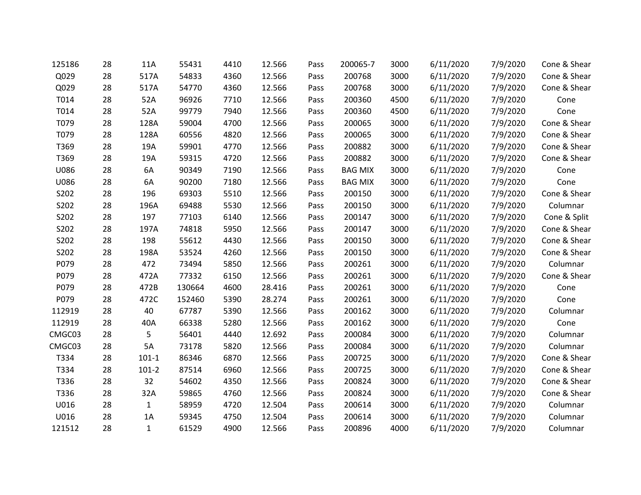| 125186 | 28 | 11A          | 55431  | 4410 | 12.566 | Pass | 200065-7       | 3000 | 6/11/2020 | 7/9/2020 | Cone & Shear |
|--------|----|--------------|--------|------|--------|------|----------------|------|-----------|----------|--------------|
| Q029   | 28 | 517A         | 54833  | 4360 | 12.566 | Pass | 200768         | 3000 | 6/11/2020 | 7/9/2020 | Cone & Shear |
| Q029   | 28 | 517A         | 54770  | 4360 | 12.566 | Pass | 200768         | 3000 | 6/11/2020 | 7/9/2020 | Cone & Shear |
| T014   | 28 | 52A          | 96926  | 7710 | 12.566 | Pass | 200360         | 4500 | 6/11/2020 | 7/9/2020 | Cone         |
| T014   | 28 | 52A          | 99779  | 7940 | 12.566 | Pass | 200360         | 4500 | 6/11/2020 | 7/9/2020 | Cone         |
| T079   | 28 | 128A         | 59004  | 4700 | 12.566 | Pass | 200065         | 3000 | 6/11/2020 | 7/9/2020 | Cone & Shear |
| T079   | 28 | 128A         | 60556  | 4820 | 12.566 | Pass | 200065         | 3000 | 6/11/2020 | 7/9/2020 | Cone & Shear |
| T369   | 28 | 19A          | 59901  | 4770 | 12.566 | Pass | 200882         | 3000 | 6/11/2020 | 7/9/2020 | Cone & Shear |
| T369   | 28 | 19A          | 59315  | 4720 | 12.566 | Pass | 200882         | 3000 | 6/11/2020 | 7/9/2020 | Cone & Shear |
| U086   | 28 | 6A           | 90349  | 7190 | 12.566 | Pass | <b>BAG MIX</b> | 3000 | 6/11/2020 | 7/9/2020 | Cone         |
| U086   | 28 | 6A           | 90200  | 7180 | 12.566 | Pass | <b>BAG MIX</b> | 3000 | 6/11/2020 | 7/9/2020 | Cone         |
| S202   | 28 | 196          | 69303  | 5510 | 12.566 | Pass | 200150         | 3000 | 6/11/2020 | 7/9/2020 | Cone & Shear |
| S202   | 28 | 196A         | 69488  | 5530 | 12.566 | Pass | 200150         | 3000 | 6/11/2020 | 7/9/2020 | Columnar     |
| S202   | 28 | 197          | 77103  | 6140 | 12.566 | Pass | 200147         | 3000 | 6/11/2020 | 7/9/2020 | Cone & Split |
| S202   | 28 | 197A         | 74818  | 5950 | 12.566 | Pass | 200147         | 3000 | 6/11/2020 | 7/9/2020 | Cone & Shear |
| S202   | 28 | 198          | 55612  | 4430 | 12.566 | Pass | 200150         | 3000 | 6/11/2020 | 7/9/2020 | Cone & Shear |
| S202   | 28 | 198A         | 53524  | 4260 | 12.566 | Pass | 200150         | 3000 | 6/11/2020 | 7/9/2020 | Cone & Shear |
| P079   | 28 | 472          | 73494  | 5850 | 12.566 | Pass | 200261         | 3000 | 6/11/2020 | 7/9/2020 | Columnar     |
| P079   | 28 | 472A         | 77332  | 6150 | 12.566 | Pass | 200261         | 3000 | 6/11/2020 | 7/9/2020 | Cone & Shear |
| P079   | 28 | 472B         | 130664 | 4600 | 28.416 | Pass | 200261         | 3000 | 6/11/2020 | 7/9/2020 | Cone         |
| P079   | 28 | 472C         | 152460 | 5390 | 28.274 | Pass | 200261         | 3000 | 6/11/2020 | 7/9/2020 | Cone         |
| 112919 | 28 | 40           | 67787  | 5390 | 12.566 | Pass | 200162         | 3000 | 6/11/2020 | 7/9/2020 | Columnar     |
| 112919 | 28 | 40A          | 66338  | 5280 | 12.566 | Pass | 200162         | 3000 | 6/11/2020 | 7/9/2020 | Cone         |
| CMGC03 | 28 | 5            | 56401  | 4440 | 12.692 | Pass | 200084         | 3000 | 6/11/2020 | 7/9/2020 | Columnar     |
| CMGC03 | 28 | 5A           | 73178  | 5820 | 12.566 | Pass | 200084         | 3000 | 6/11/2020 | 7/9/2020 | Columnar     |
| T334   | 28 | $101-1$      | 86346  | 6870 | 12.566 | Pass | 200725         | 3000 | 6/11/2020 | 7/9/2020 | Cone & Shear |
| T334   | 28 | $101-2$      | 87514  | 6960 | 12.566 | Pass | 200725         | 3000 | 6/11/2020 | 7/9/2020 | Cone & Shear |
| T336   | 28 | 32           | 54602  | 4350 | 12.566 | Pass | 200824         | 3000 | 6/11/2020 | 7/9/2020 | Cone & Shear |
| T336   | 28 | 32A          | 59865  | 4760 | 12.566 | Pass | 200824         | 3000 | 6/11/2020 | 7/9/2020 | Cone & Shear |
| U016   | 28 | 1            | 58959  | 4720 | 12.504 | Pass | 200614         | 3000 | 6/11/2020 | 7/9/2020 | Columnar     |
| U016   | 28 | 1A           | 59345  | 4750 | 12.504 | Pass | 200614         | 3000 | 6/11/2020 | 7/9/2020 | Columnar     |
| 121512 | 28 | $\mathbf{1}$ | 61529  | 4900 | 12.566 | Pass | 200896         | 4000 | 6/11/2020 | 7/9/2020 | Columnar     |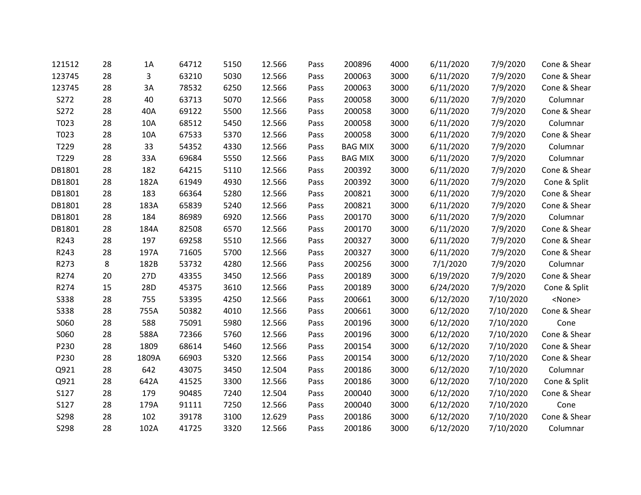| 121512      | 28 | 1A    | 64712 | 5150 | 12.566 | Pass | 200896         | 4000 | 6/11/2020 | 7/9/2020  | Cone & Shear  |
|-------------|----|-------|-------|------|--------|------|----------------|------|-----------|-----------|---------------|
| 123745      | 28 | 3     | 63210 | 5030 | 12.566 | Pass | 200063         | 3000 | 6/11/2020 | 7/9/2020  | Cone & Shear  |
| 123745      | 28 | 3A    | 78532 | 6250 | 12.566 | Pass | 200063         | 3000 | 6/11/2020 | 7/9/2020  | Cone & Shear  |
| S272        | 28 | 40    | 63713 | 5070 | 12.566 | Pass | 200058         | 3000 | 6/11/2020 | 7/9/2020  | Columnar      |
| S272        | 28 | 40A   | 69122 | 5500 | 12.566 | Pass | 200058         | 3000 | 6/11/2020 | 7/9/2020  | Cone & Shear  |
| T023        | 28 | 10A   | 68512 | 5450 | 12.566 | Pass | 200058         | 3000 | 6/11/2020 | 7/9/2020  | Columnar      |
| T023        | 28 | 10A   | 67533 | 5370 | 12.566 | Pass | 200058         | 3000 | 6/11/2020 | 7/9/2020  | Cone & Shear  |
| T229        | 28 | 33    | 54352 | 4330 | 12.566 | Pass | <b>BAG MIX</b> | 3000 | 6/11/2020 | 7/9/2020  | Columnar      |
| T229        | 28 | 33A   | 69684 | 5550 | 12.566 | Pass | <b>BAG MIX</b> | 3000 | 6/11/2020 | 7/9/2020  | Columnar      |
| DB1801      | 28 | 182   | 64215 | 5110 | 12.566 | Pass | 200392         | 3000 | 6/11/2020 | 7/9/2020  | Cone & Shear  |
| DB1801      | 28 | 182A  | 61949 | 4930 | 12.566 | Pass | 200392         | 3000 | 6/11/2020 | 7/9/2020  | Cone & Split  |
| DB1801      | 28 | 183   | 66364 | 5280 | 12.566 | Pass | 200821         | 3000 | 6/11/2020 | 7/9/2020  | Cone & Shear  |
| DB1801      | 28 | 183A  | 65839 | 5240 | 12.566 | Pass | 200821         | 3000 | 6/11/2020 | 7/9/2020  | Cone & Shear  |
| DB1801      | 28 | 184   | 86989 | 6920 | 12.566 | Pass | 200170         | 3000 | 6/11/2020 | 7/9/2020  | Columnar      |
| DB1801      | 28 | 184A  | 82508 | 6570 | 12.566 | Pass | 200170         | 3000 | 6/11/2020 | 7/9/2020  | Cone & Shear  |
| R243        | 28 | 197   | 69258 | 5510 | 12.566 | Pass | 200327         | 3000 | 6/11/2020 | 7/9/2020  | Cone & Shear  |
| R243        | 28 | 197A  | 71605 | 5700 | 12.566 | Pass | 200327         | 3000 | 6/11/2020 | 7/9/2020  | Cone & Shear  |
| R273        | 8  | 182B  | 53732 | 4280 | 12.566 | Pass | 200256         | 3000 | 7/1/2020  | 7/9/2020  | Columnar      |
| R274        | 20 | 27D   | 43355 | 3450 | 12.566 | Pass | 200189         | 3000 | 6/19/2020 | 7/9/2020  | Cone & Shear  |
| R274        | 15 | 28D   | 45375 | 3610 | 12.566 | Pass | 200189         | 3000 | 6/24/2020 | 7/9/2020  | Cone & Split  |
| <b>S338</b> | 28 | 755   | 53395 | 4250 | 12.566 | Pass | 200661         | 3000 | 6/12/2020 | 7/10/2020 | <none></none> |
| <b>S338</b> | 28 | 755A  | 50382 | 4010 | 12.566 | Pass | 200661         | 3000 | 6/12/2020 | 7/10/2020 | Cone & Shear  |
| S060        | 28 | 588   | 75091 | 5980 | 12.566 | Pass | 200196         | 3000 | 6/12/2020 | 7/10/2020 | Cone          |
| S060        | 28 | 588A  | 72366 | 5760 | 12.566 | Pass | 200196         | 3000 | 6/12/2020 | 7/10/2020 | Cone & Shear  |
| P230        | 28 | 1809  | 68614 | 5460 | 12.566 | Pass | 200154         | 3000 | 6/12/2020 | 7/10/2020 | Cone & Shear  |
| P230        | 28 | 1809A | 66903 | 5320 | 12.566 | Pass | 200154         | 3000 | 6/12/2020 | 7/10/2020 | Cone & Shear  |
| Q921        | 28 | 642   | 43075 | 3450 | 12.504 | Pass | 200186         | 3000 | 6/12/2020 | 7/10/2020 | Columnar      |
| Q921        | 28 | 642A  | 41525 | 3300 | 12.566 | Pass | 200186         | 3000 | 6/12/2020 | 7/10/2020 | Cone & Split  |
| S127        | 28 | 179   | 90485 | 7240 | 12.504 | Pass | 200040         | 3000 | 6/12/2020 | 7/10/2020 | Cone & Shear  |
| S127        | 28 | 179A  | 91111 | 7250 | 12.566 | Pass | 200040         | 3000 | 6/12/2020 | 7/10/2020 | Cone          |
| S298        | 28 | 102   | 39178 | 3100 | 12.629 | Pass | 200186         | 3000 | 6/12/2020 | 7/10/2020 | Cone & Shear  |
| S298        | 28 | 102A  | 41725 | 3320 | 12.566 | Pass | 200186         | 3000 | 6/12/2020 | 7/10/2020 | Columnar      |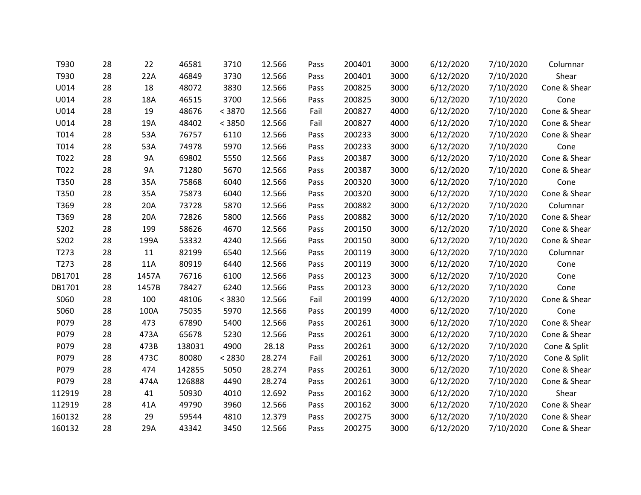| T930             | 28 | 22        | 46581  | 3710   | 12.566 | Pass | 200401 | 3000 | 6/12/2020 | 7/10/2020 | Columnar     |
|------------------|----|-----------|--------|--------|--------|------|--------|------|-----------|-----------|--------------|
| T930             | 28 | 22A       | 46849  | 3730   | 12.566 | Pass | 200401 | 3000 | 6/12/2020 | 7/10/2020 | Shear        |
| U014             | 28 | 18        | 48072  | 3830   | 12.566 | Pass | 200825 | 3000 | 6/12/2020 | 7/10/2020 | Cone & Shear |
| U014             | 28 | 18A       | 46515  | 3700   | 12.566 | Pass | 200825 | 3000 | 6/12/2020 | 7/10/2020 | Cone         |
| U014             | 28 | 19        | 48676  | < 3870 | 12.566 | Fail | 200827 | 4000 | 6/12/2020 | 7/10/2020 | Cone & Shear |
| U014             | 28 | 19A       | 48402  | < 3850 | 12.566 | Fail | 200827 | 4000 | 6/12/2020 | 7/10/2020 | Cone & Shear |
| T014             | 28 | 53A       | 76757  | 6110   | 12.566 | Pass | 200233 | 3000 | 6/12/2020 | 7/10/2020 | Cone & Shear |
| T014             | 28 | 53A       | 74978  | 5970   | 12.566 | Pass | 200233 | 3000 | 6/12/2020 | 7/10/2020 | Cone         |
| T022             | 28 | 9A        | 69802  | 5550   | 12.566 | Pass | 200387 | 3000 | 6/12/2020 | 7/10/2020 | Cone & Shear |
| T022             | 28 | <b>9A</b> | 71280  | 5670   | 12.566 | Pass | 200387 | 3000 | 6/12/2020 | 7/10/2020 | Cone & Shear |
| T350             | 28 | 35A       | 75868  | 6040   | 12.566 | Pass | 200320 | 3000 | 6/12/2020 | 7/10/2020 | Cone         |
| T350             | 28 | 35A       | 75873  | 6040   | 12.566 | Pass | 200320 | 3000 | 6/12/2020 | 7/10/2020 | Cone & Shear |
| T369             | 28 | 20A       | 73728  | 5870   | 12.566 | Pass | 200882 | 3000 | 6/12/2020 | 7/10/2020 | Columnar     |
| T369             | 28 | 20A       | 72826  | 5800   | 12.566 | Pass | 200882 | 3000 | 6/12/2020 | 7/10/2020 | Cone & Shear |
| S202             | 28 | 199       | 58626  | 4670   | 12.566 | Pass | 200150 | 3000 | 6/12/2020 | 7/10/2020 | Cone & Shear |
| S202             | 28 | 199A      | 53332  | 4240   | 12.566 | Pass | 200150 | 3000 | 6/12/2020 | 7/10/2020 | Cone & Shear |
| T273             | 28 | 11        | 82199  | 6540   | 12.566 | Pass | 200119 | 3000 | 6/12/2020 | 7/10/2020 | Columnar     |
| T <sub>273</sub> | 28 | 11A       | 80919  | 6440   | 12.566 | Pass | 200119 | 3000 | 6/12/2020 | 7/10/2020 | Cone         |
| DB1701           | 28 | 1457A     | 76716  | 6100   | 12.566 | Pass | 200123 | 3000 | 6/12/2020 | 7/10/2020 | Cone         |
| DB1701           | 28 | 1457B     | 78427  | 6240   | 12.566 | Pass | 200123 | 3000 | 6/12/2020 | 7/10/2020 | Cone         |
| S060             | 28 | 100       | 48106  | < 3830 | 12.566 | Fail | 200199 | 4000 | 6/12/2020 | 7/10/2020 | Cone & Shear |
| S060             | 28 | 100A      | 75035  | 5970   | 12.566 | Pass | 200199 | 4000 | 6/12/2020 | 7/10/2020 | Cone         |
| P079             | 28 | 473       | 67890  | 5400   | 12.566 | Pass | 200261 | 3000 | 6/12/2020 | 7/10/2020 | Cone & Shear |
| P079             | 28 | 473A      | 65678  | 5230   | 12.566 | Pass | 200261 | 3000 | 6/12/2020 | 7/10/2020 | Cone & Shear |
| P079             | 28 | 473B      | 138031 | 4900   | 28.18  | Pass | 200261 | 3000 | 6/12/2020 | 7/10/2020 | Cone & Split |
| P079             | 28 | 473C      | 80080  | < 2830 | 28.274 | Fail | 200261 | 3000 | 6/12/2020 | 7/10/2020 | Cone & Split |
| P079             | 28 | 474       | 142855 | 5050   | 28.274 | Pass | 200261 | 3000 | 6/12/2020 | 7/10/2020 | Cone & Shear |
| P079             | 28 | 474A      | 126888 | 4490   | 28.274 | Pass | 200261 | 3000 | 6/12/2020 | 7/10/2020 | Cone & Shear |
| 112919           | 28 | 41        | 50930  | 4010   | 12.692 | Pass | 200162 | 3000 | 6/12/2020 | 7/10/2020 | Shear        |
| 112919           | 28 | 41A       | 49790  | 3960   | 12.566 | Pass | 200162 | 3000 | 6/12/2020 | 7/10/2020 | Cone & Shear |
| 160132           | 28 | 29        | 59544  | 4810   | 12.379 | Pass | 200275 | 3000 | 6/12/2020 | 7/10/2020 | Cone & Shear |
| 160132           | 28 | 29A       | 43342  | 3450   | 12.566 | Pass | 200275 | 3000 | 6/12/2020 | 7/10/2020 | Cone & Shear |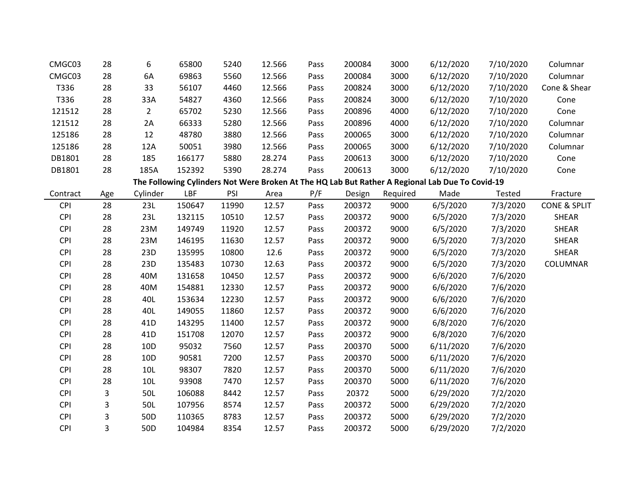| CMGC03     | 28  | 6               | 65800  | 5240  | 12.566 | Pass | 200084 | 3000     | 6/12/2020                                                                                       | 7/10/2020 | Columnar                |
|------------|-----|-----------------|--------|-------|--------|------|--------|----------|-------------------------------------------------------------------------------------------------|-----------|-------------------------|
| CMGC03     | 28  | 6A              | 69863  | 5560  | 12.566 | Pass | 200084 | 3000     | 6/12/2020                                                                                       | 7/10/2020 | Columnar                |
| T336       | 28  | 33              | 56107  | 4460  | 12.566 | Pass | 200824 | 3000     | 6/12/2020                                                                                       | 7/10/2020 | Cone & Shear            |
| T336       | 28  | 33A             | 54827  | 4360  | 12.566 | Pass | 200824 | 3000     | 6/12/2020                                                                                       | 7/10/2020 | Cone                    |
| 121512     | 28  | $\overline{2}$  | 65702  | 5230  | 12.566 | Pass | 200896 | 4000     | 6/12/2020                                                                                       | 7/10/2020 | Cone                    |
| 121512     | 28  | 2A              | 66333  | 5280  | 12.566 | Pass | 200896 | 4000     | 6/12/2020                                                                                       | 7/10/2020 | Columnar                |
| 125186     | 28  | 12              | 48780  | 3880  | 12.566 | Pass | 200065 | 3000     | 6/12/2020                                                                                       | 7/10/2020 | Columnar                |
| 125186     | 28  | 12A             | 50051  | 3980  | 12.566 | Pass | 200065 | 3000     | 6/12/2020                                                                                       | 7/10/2020 | Columnar                |
| DB1801     | 28  | 185             | 166177 | 5880  | 28.274 | Pass | 200613 | 3000     | 6/12/2020                                                                                       | 7/10/2020 | Cone                    |
| DB1801     | 28  | 185A            | 152392 | 5390  | 28.274 | Pass | 200613 | 3000     | 6/12/2020                                                                                       | 7/10/2020 | Cone                    |
|            |     |                 |        |       |        |      |        |          | The Following Cylinders Not Were Broken At The HQ Lab But Rather A Regional Lab Due To Covid-19 |           |                         |
| Contract   | Age | Cylinder        | LBF    | PSI   | Area   | P/F  | Design | Required | Made                                                                                            | Tested    | Fracture                |
| <b>CPI</b> | 28  | 23L             | 150647 | 11990 | 12.57  | Pass | 200372 | 9000     | 6/5/2020                                                                                        | 7/3/2020  | <b>CONE &amp; SPLIT</b> |
| <b>CPI</b> | 28  | 23L             | 132115 | 10510 | 12.57  | Pass | 200372 | 9000     | 6/5/2020                                                                                        | 7/3/2020  | <b>SHEAR</b>            |
| <b>CPI</b> | 28  | 23M             | 149749 | 11920 | 12.57  | Pass | 200372 | 9000     | 6/5/2020                                                                                        | 7/3/2020  | <b>SHEAR</b>            |
| <b>CPI</b> | 28  | 23M             | 146195 | 11630 | 12.57  | Pass | 200372 | 9000     | 6/5/2020                                                                                        | 7/3/2020  | <b>SHEAR</b>            |
| <b>CPI</b> | 28  | 23D             | 135995 | 10800 | 12.6   | Pass | 200372 | 9000     | 6/5/2020                                                                                        | 7/3/2020  | SHEAR                   |
| <b>CPI</b> | 28  | 23D             | 135483 | 10730 | 12.63  | Pass | 200372 | 9000     | 6/5/2020                                                                                        | 7/3/2020  | COLUMNAR                |
| <b>CPI</b> | 28  | 40M             | 131658 | 10450 | 12.57  | Pass | 200372 | 9000     | 6/6/2020                                                                                        | 7/6/2020  |                         |
| <b>CPI</b> | 28  | 40M             | 154881 | 12330 | 12.57  | Pass | 200372 | 9000     | 6/6/2020                                                                                        | 7/6/2020  |                         |
| <b>CPI</b> | 28  | 40L             | 153634 | 12230 | 12.57  | Pass | 200372 | 9000     | 6/6/2020                                                                                        | 7/6/2020  |                         |
| <b>CPI</b> | 28  | 40L             | 149055 | 11860 | 12.57  | Pass | 200372 | 9000     | 6/6/2020                                                                                        | 7/6/2020  |                         |
| <b>CPI</b> | 28  | 41D             | 143295 | 11400 | 12.57  | Pass | 200372 | 9000     | 6/8/2020                                                                                        | 7/6/2020  |                         |
| <b>CPI</b> | 28  | 41D             | 151708 | 12070 | 12.57  | Pass | 200372 | 9000     | 6/8/2020                                                                                        | 7/6/2020  |                         |
| <b>CPI</b> | 28  | 10 <sub>D</sub> | 95032  | 7560  | 12.57  | Pass | 200370 | 5000     | 6/11/2020                                                                                       | 7/6/2020  |                         |
| <b>CPI</b> | 28  | 10 <sub>D</sub> | 90581  | 7200  | 12.57  | Pass | 200370 | 5000     | 6/11/2020                                                                                       | 7/6/2020  |                         |
| <b>CPI</b> | 28  | <b>10L</b>      | 98307  | 7820  | 12.57  | Pass | 200370 | 5000     | 6/11/2020                                                                                       | 7/6/2020  |                         |
| <b>CPI</b> | 28  | 10L             | 93908  | 7470  | 12.57  | Pass | 200370 | 5000     | 6/11/2020                                                                                       | 7/6/2020  |                         |
| <b>CPI</b> | 3   | 50L             | 106088 | 8442  | 12.57  | Pass | 20372  | 5000     | 6/29/2020                                                                                       | 7/2/2020  |                         |
| <b>CPI</b> | 3   | 50L             | 107956 | 8574  | 12.57  | Pass | 200372 | 5000     | 6/29/2020                                                                                       | 7/2/2020  |                         |
| <b>CPI</b> | 3   | 50 <sub>D</sub> | 110365 | 8783  | 12.57  | Pass | 200372 | 5000     | 6/29/2020                                                                                       | 7/2/2020  |                         |
| <b>CPI</b> | 3   | 50 <sub>D</sub> | 104984 | 8354  | 12.57  | Pass | 200372 | 5000     | 6/29/2020                                                                                       | 7/2/2020  |                         |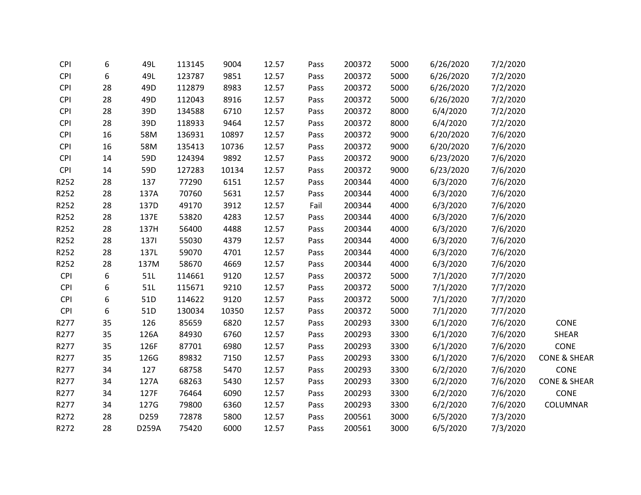| <b>CPI</b> | 6  | 49L             | 113145 | 9004  | 12.57 | Pass | 200372 | 5000 | 6/26/2020 | 7/2/2020 |                         |
|------------|----|-----------------|--------|-------|-------|------|--------|------|-----------|----------|-------------------------|
| <b>CPI</b> | 6  | 49L             | 123787 | 9851  | 12.57 | Pass | 200372 | 5000 | 6/26/2020 | 7/2/2020 |                         |
| <b>CPI</b> | 28 | 49D             | 112879 | 8983  | 12.57 | Pass | 200372 | 5000 | 6/26/2020 | 7/2/2020 |                         |
| <b>CPI</b> | 28 | 49D             | 112043 | 8916  | 12.57 | Pass | 200372 | 5000 | 6/26/2020 | 7/2/2020 |                         |
| <b>CPI</b> | 28 | 39D             | 134588 | 6710  | 12.57 | Pass | 200372 | 8000 | 6/4/2020  | 7/2/2020 |                         |
| <b>CPI</b> | 28 | 39D             | 118933 | 9464  | 12.57 | Pass | 200372 | 8000 | 6/4/2020  | 7/2/2020 |                         |
| <b>CPI</b> | 16 | 58M             | 136931 | 10897 | 12.57 | Pass | 200372 | 9000 | 6/20/2020 | 7/6/2020 |                         |
| <b>CPI</b> | 16 | 58M             | 135413 | 10736 | 12.57 | Pass | 200372 | 9000 | 6/20/2020 | 7/6/2020 |                         |
| <b>CPI</b> | 14 | 59D             | 124394 | 9892  | 12.57 | Pass | 200372 | 9000 | 6/23/2020 | 7/6/2020 |                         |
| <b>CPI</b> | 14 | 59D             | 127283 | 10134 | 12.57 | Pass | 200372 | 9000 | 6/23/2020 | 7/6/2020 |                         |
| R252       | 28 | 137             | 77290  | 6151  | 12.57 | Pass | 200344 | 4000 | 6/3/2020  | 7/6/2020 |                         |
| R252       | 28 | 137A            | 70760  | 5631  | 12.57 | Pass | 200344 | 4000 | 6/3/2020  | 7/6/2020 |                         |
| R252       | 28 | 137D            | 49170  | 3912  | 12.57 | Fail | 200344 | 4000 | 6/3/2020  | 7/6/2020 |                         |
| R252       | 28 | 137E            | 53820  | 4283  | 12.57 | Pass | 200344 | 4000 | 6/3/2020  | 7/6/2020 |                         |
| R252       | 28 | 137H            | 56400  | 4488  | 12.57 | Pass | 200344 | 4000 | 6/3/2020  | 7/6/2020 |                         |
| R252       | 28 | 1371            | 55030  | 4379  | 12.57 | Pass | 200344 | 4000 | 6/3/2020  | 7/6/2020 |                         |
| R252       | 28 | 137L            | 59070  | 4701  | 12.57 | Pass | 200344 | 4000 | 6/3/2020  | 7/6/2020 |                         |
| R252       | 28 | 137M            | 58670  | 4669  | 12.57 | Pass | 200344 | 4000 | 6/3/2020  | 7/6/2020 |                         |
| <b>CPI</b> | 6  | 51L             | 114661 | 9120  | 12.57 | Pass | 200372 | 5000 | 7/1/2020  | 7/7/2020 |                         |
| <b>CPI</b> | 6  | 51L             | 115671 | 9210  | 12.57 | Pass | 200372 | 5000 | 7/1/2020  | 7/7/2020 |                         |
| <b>CPI</b> | 6  | 51 <sub>D</sub> | 114622 | 9120  | 12.57 | Pass | 200372 | 5000 | 7/1/2020  | 7/7/2020 |                         |
| <b>CPI</b> | 6  | 51D             | 130034 | 10350 | 12.57 | Pass | 200372 | 5000 | 7/1/2020  | 7/7/2020 |                         |
| R277       | 35 | 126             | 85659  | 6820  | 12.57 | Pass | 200293 | 3300 | 6/1/2020  | 7/6/2020 | CONE                    |
| R277       | 35 | 126A            | 84930  | 6760  | 12.57 | Pass | 200293 | 3300 | 6/1/2020  | 7/6/2020 | <b>SHEAR</b>            |
| R277       | 35 | 126F            | 87701  | 6980  | 12.57 | Pass | 200293 | 3300 | 6/1/2020  | 7/6/2020 | CONE                    |
| R277       | 35 | 126G            | 89832  | 7150  | 12.57 | Pass | 200293 | 3300 | 6/1/2020  | 7/6/2020 | <b>CONE &amp; SHEAR</b> |
| R277       | 34 | 127             | 68758  | 5470  | 12.57 | Pass | 200293 | 3300 | 6/2/2020  | 7/6/2020 | CONE                    |
| R277       | 34 | 127A            | 68263  | 5430  | 12.57 | Pass | 200293 | 3300 | 6/2/2020  | 7/6/2020 | <b>CONE &amp; SHEAR</b> |
| R277       | 34 | 127F            | 76464  | 6090  | 12.57 | Pass | 200293 | 3300 | 6/2/2020  | 7/6/2020 | <b>CONE</b>             |
| R277       | 34 | 127G            | 79800  | 6360  | 12.57 | Pass | 200293 | 3300 | 6/2/2020  | 7/6/2020 | COLUMNAR                |
| R272       | 28 | D259            | 72878  | 5800  | 12.57 | Pass | 200561 | 3000 | 6/5/2020  | 7/3/2020 |                         |
| R272       | 28 | D259A           | 75420  | 6000  | 12.57 | Pass | 200561 | 3000 | 6/5/2020  | 7/3/2020 |                         |